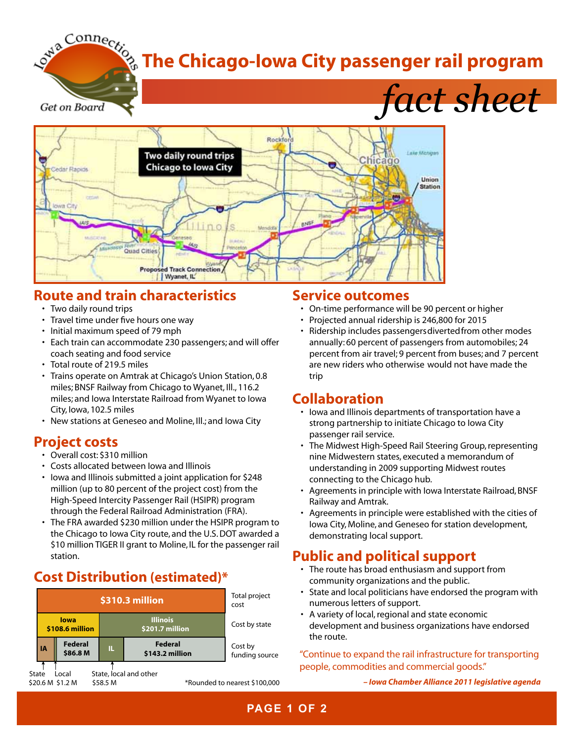# **The Chicago-Iowa City passenger rail program**

Get on Board

*fact sheet*



# **Route and train characteristics**

- Two daily round trips
- Travel time under five hours one way
- Initial maximum speed of 79 mph
- Each train can accommodate 230 passengers; and will offer coach seating and food service
- Total route of 219.5 miles
- Trains operate on Amtrak at Chicago's Union Station, 0.8 miles; BNSF Railway from Chicago to Wyanet, Ill., 116.2 miles; and Iowa Interstate Railroad from Wyanet to Iowa City, Iowa, 102.5 miles
- New stations at Geneseo and Moline, Ill.; and Iowa City

## **Project costs**

- Overall cost: \$310 million
- • Costs allocated between Iowa and Illinois
- lowa and Illinois submitted a joint application for \$248 million (up to 80 percent of the project cost) from the High-Speed Intercity Passenger Rail (HSIPR) program through the Federal Railroad Administration (FRA).
- The FRA awarded \$230 million under the HSIPR program to the Chicago to Iowa City route, and the U.S.DOT awarded a \$10 million TIGER II grant to Moline, IL for the passenger rail station.

# **Cost Distribution (estimated)\***



#### **Service outcomes**

- • On-time performance will be 90 percent or higher
- • Projected annual ridership is 246,800 for 2015
- Ridership includes passengers diverted from other modes annually: 60 percent of passengers from automobiles; 24 percent from air travel; 9 percent from buses; and 7 percent are new riders who otherwise would not have made the trip

## **Collaboration**

- Iowa and Illinois departments of transportation have a strong partnership to initiate Chicago to Iowa City passenger rail service.
- The Midwest High-Speed Rail Steering Group, representing nine Midwestern states, executed a memorandum of understanding in 2009 supporting Midwest routes connecting to the Chicago hub.
- Agreements in principle with Iowa Interstate Railroad, BNSF Railway and Amtrak.
- Agreements in principle were established with the cities of Iowa City, Moline, and Geneseo for station development, demonstrating local support.

# **Public and political support**

- The route has broad enthusiasm and support from community organizations and the public.
- State and local politicians have endorsed the program with numerous letters of support.
- A variety of local, regional and state economic development and business organizations have endorsed the route.

#### "Continue to expand the rail infrastructure for transporting people, commodities and commercial goods."

*– Iowa Chamber Alliance 2011 legislative agenda*